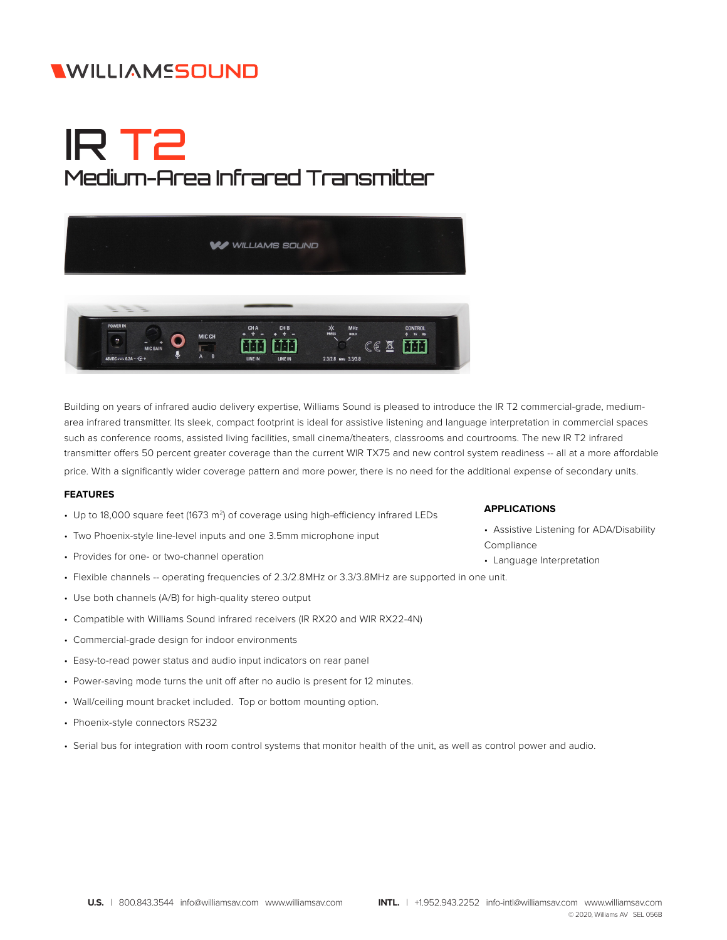## **WILLIAMSSOUND**

# IR T2 Medium-Area Infrared Transmitter



Building on years of infrared audio delivery expertise, Williams Sound is pleased to introduce the IR T2 commercial-grade, mediumarea infrared transmitter. Its sleek, compact footprint is ideal for assistive listening and language interpretation in commercial spaces such as conference rooms, assisted living facilities, small cinema/theaters, classrooms and courtrooms. The new IR T2 infrared transmitter offers 50 percent greater coverage than the current WIR TX75 and new control system readiness -- all at a more affordable price. With a significantly wider coverage pattern and more power, there is no need for the additional expense of secondary units.

#### **FEATURES**

- Up to 18,000 square feet (1673 m<sup>2</sup>) of coverage using high-efficiency infrared LEDs
- Two Phoenix-style line-level inputs and one 3.5mm microphone input
- Provides for one- or two-channel operation
- Flexible channels -- operating frequencies of 2.3/2.8MHz or 3.3/3.8MHz are supported in one unit.
- Use both channels (A/B) for high-quality stereo output
- Compatible with Williams Sound infrared receivers (IR RX20 and WIR RX22-4N)
- Commercial-grade design for indoor environments
- Easy-to-read power status and audio input indicators on rear panel
- Power-saving mode turns the unit off after no audio is present for 12 minutes.
- Wall/ceiling mount bracket included. Top or bottom mounting option.
- Phoenix-style connectors RS232
- Serial bus for integration with room control systems that monitor health of the unit, as well as control power and audio.

#### **APPLICATIONS**

- Assistive Listening for ADA/Disability Compliance
- Language Interpretation